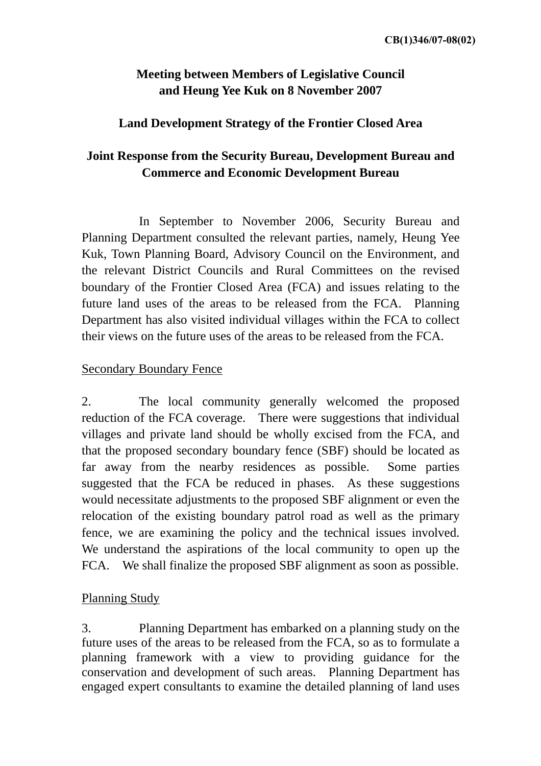# **Meeting between Members of Legislative Council and Heung Yee Kuk on 8 November 2007**

### **Land Development Strategy of the Frontier Closed Area**

# **Joint Response from the Security Bureau, Development Bureau and Commerce and Economic Development Bureau**

 In September to November 2006, Security Bureau and Planning Department consulted the relevant parties, namely, Heung Yee Kuk, Town Planning Board, Advisory Council on the Environment, and the relevant District Councils and Rural Committees on the revised boundary of the Frontier Closed Area (FCA) and issues relating to the future land uses of the areas to be released from the FCA. Planning Department has also visited individual villages within the FCA to collect their views on the future uses of the areas to be released from the FCA.

### Secondary Boundary Fence

2. The local community generally welcomed the proposed reduction of the FCA coverage. There were suggestions that individual villages and private land should be wholly excised from the FCA, and that the proposed secondary boundary fence (SBF) should be located as far away from the nearby residences as possible. Some parties suggested that the FCA be reduced in phases. As these suggestions would necessitate adjustments to the proposed SBF alignment or even the relocation of the existing boundary patrol road as well as the primary fence, we are examining the policy and the technical issues involved. We understand the aspirations of the local community to open up the FCA. We shall finalize the proposed SBF alignment as soon as possible.

### Planning Study

3. Planning Department has embarked on a planning study on the future uses of the areas to be released from the FCA, so as to formulate a planning framework with a view to providing guidance for the conservation and development of such areas. Planning Department has engaged expert consultants to examine the detailed planning of land uses